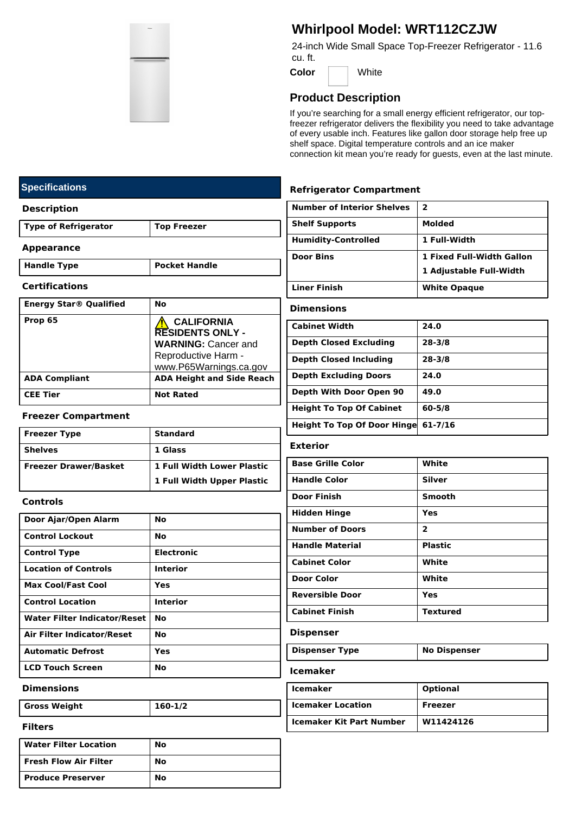

# **Whirlpool Model: WRT112CZJW**

24-inch Wide Small Space Top-Freezer Refrigerator - 11.6 cu. ft.

**Color** White

# **Product Description**

If you're searching for a small energy efficient refrigerator, our topfreezer refrigerator delivers the flexibility you need to take advantage of every usable inch. Features like gallon door storage help free up shelf space. Digital temperature controls and an ice maker connection kit mean you're ready for guests, even at the last minute.

### **Refrigerator Compartment**

| <b>Number of Interior Shelves</b> | 2                         |
|-----------------------------------|---------------------------|
| <b>Shelf Supports</b>             | Molded                    |
| <b>Humidity-Controlled</b>        | 1 Full-Width              |
| <b>Door Bins</b>                  | 1 Fixed Full-Width Gallon |
|                                   | 1 Adjustable Full-Width   |
| <b>Liner Finish</b>               | <b>White Opague</b>       |
| <b>Dimensions</b>                 |                           |
| <b>Cabinet Width</b>              | 24.0                      |
|                                   |                           |

| <b>Depth Closed Excluding</b>       | $28 - 3/8$  |
|-------------------------------------|-------------|
| <b>Depth Closed Including</b>       | $28 - 3/8$  |
| <b>Depth Excluding Doors</b>        | 24.0        |
| Depth With Door Open 90             | 49.0        |
| <b>Height To Top Of Cabinet</b>     | $60 - 5/8$  |
| <b>Height To Top Of Door Hingel</b> | $61 - 7/16$ |

#### **Exterior**

| <b>Base Grille Color</b> | White                   |
|--------------------------|-------------------------|
| <b>Handle Color</b>      | <b>Silver</b>           |
| Door Finish              | Smooth                  |
| <b>Hidden Hinge</b>      | Yes                     |
| <b>Number of Doors</b>   | $\overline{\mathbf{2}}$ |
| <b>Handle Material</b>   | <b>Plastic</b>          |
| <b>Cabinet Color</b>     | White                   |
| Door Color               | White                   |
| <b>Reversible Door</b>   | Yes                     |
| <b>Cabinet Finish</b>    | <b>Textured</b>         |
|                          |                         |

### **Dispenser**

| <b>Dispenser Type</b> | No Dispenser |
|-----------------------|--------------|
|-----------------------|--------------|

**Icemaker**

| <b>Icemaker</b>                 | <b>Optional</b> |
|---------------------------------|-----------------|
| <b>Icemaker Location</b>        | Freezer         |
| <b>Icemaker Kit Part Number</b> | W11424126       |

# **Specifications**

#### **Description**

**Type of Refrigerator Top Freezer**

#### **Appearance**

**Handle Type Pocket Handle**

#### **Certifications**

| <b>Energy Star® Qualified</b> | <b>No</b>                                                                                                                   |
|-------------------------------|-----------------------------------------------------------------------------------------------------------------------------|
| Prop 65                       | <b>CALIFORNIA</b><br><b>RESIDENTS ONLY -</b><br><b>WARNING: Cancer and</b><br>Reproductive Harm -<br>www.P65Warnings.ca.gov |
| <b>ADA Compliant</b>          | <b>ADA Height and Side Reach</b>                                                                                            |
| <b>CEE Tier</b>               | <b>Not Rated</b>                                                                                                            |

#### **Freezer Compartment**

| <b>Freezer Type</b>          | <b>Standard</b>                   |
|------------------------------|-----------------------------------|
| <b>Shelves</b>               | 1 Glass                           |
| <b>Freezer Drawer/Basket</b> | <b>1 Full Width Lower Plastic</b> |
|                              | 1 Full Width Upper Plastic        |

#### **Controls**

| Door Ajar/Open Alarm                | Nο                |
|-------------------------------------|-------------------|
| <b>Control Lockout</b>              | Nο                |
| <b>Control Type</b>                 | <b>Electronic</b> |
| <b>Location of Controls</b>         | Interior          |
| <b>Max Cool/Fast Cool</b>           | Yes               |
| <b>Control Location</b>             | <b>Interior</b>   |
| <b>Water Filter Indicator/Reset</b> | Nο                |
| <b>Air Filter Indicator/Reset</b>   | Nο                |
| <b>Automatic Defrost</b>            | Yes               |
| <b>LCD Touch Screen</b>             | No                |

#### **Dimensions**

**Gross Weight 160-1/2**

| <b>Water Filter Location</b> | No |
|------------------------------|----|
| <b>Fresh Flow Air Filter</b> | No |
| <b>Produce Preserver</b>     | No |